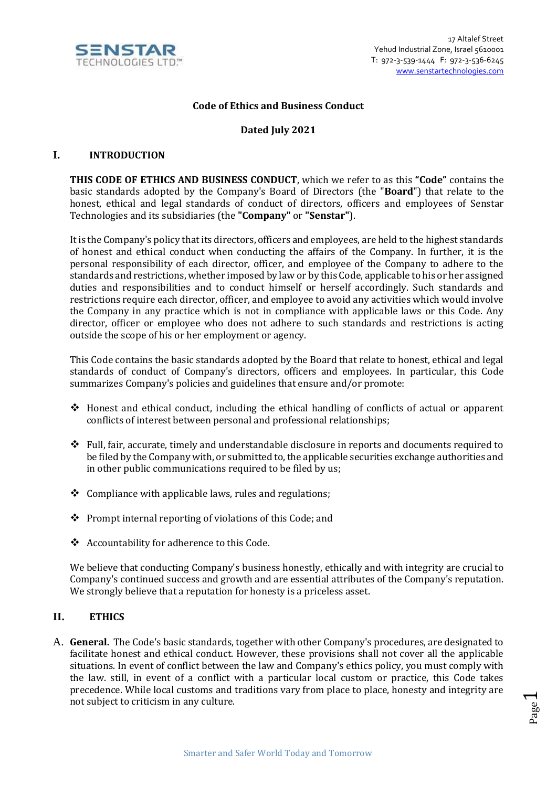

### **Code of Ethics and Business Conduct**

## **Dated July 2021**

### **I. INTRODUCTION**

**THIS CODE OF ETHICS AND BUSINESS CONDUCT**, which we refer to as this **"Code"** contains the basic standards adopted by the Company's Board of Directors (the "**Board**") that relate to the honest, ethical and legal standards of conduct of directors, officers and employees of Senstar Technologies and its subsidiaries (the **"Company"** or **"Senstar"**).

It is the Company's policy that its directors, officers and employees, are held to the highest standards of honest and ethical conduct when conducting the affairs of the Company. In further, it is the personal responsibility of each director, officer, and employee of the Company to adhere to the standards and restrictions, whether imposed by law or by this Code, applicable to his or her assigned duties and responsibilities and to conduct himself or herself accordingly. Such standards and restrictions require each director, officer, and employee to avoid any activities which would involve the Company in any practice which is not in compliance with applicable laws or this Code. Any director, officer or employee who does not adhere to such standards and restrictions is acting outside the scope of his or her employment or agency.

This Code contains the basic standards adopted by the Board that relate to honest, ethical and legal standards of conduct of Company's directors, officers and employees. In particular, this Code summarizes Company's policies and guidelines that ensure and/or promote:

- ❖ Honest and ethical conduct, including the ethical handling of conflicts of actual or apparent conflicts of interest between personal and professional relationships;
- ❖ Full, fair, accurate, timely and understandable disclosure in reports and documents required to be filed by the Company with, or submitted to, the applicable securities exchange authorities and in other public communications required to be filed by us;
- ❖ Compliance with applicable laws, rules and regulations;
- ❖ Prompt internal reporting of violations of this Code; and
- ❖ Accountability for adherence to this Code.

We believe that conducting Company's business honestly, ethically and with integrity are crucial to Company's continued success and growth and are essential attributes of the Company's reputation. We strongly believe that a reputation for honesty is a priceless asset.

#### **II. ETHICS**

A. **General.** The Code's basic standards, together with other Company's procedures, are designated to facilitate honest and ethical conduct. However, these provisions shall not cover all the applicable situations. In event of conflict between the law and Company's ethics policy, you must comply with the law. still, in event of a conflict with a particular local custom or practice, this Code takes precedence. While local customs and traditions vary from place to place, honesty and integrity are not subject to criticism in any culture.

$$
_{\rm Page}1
$$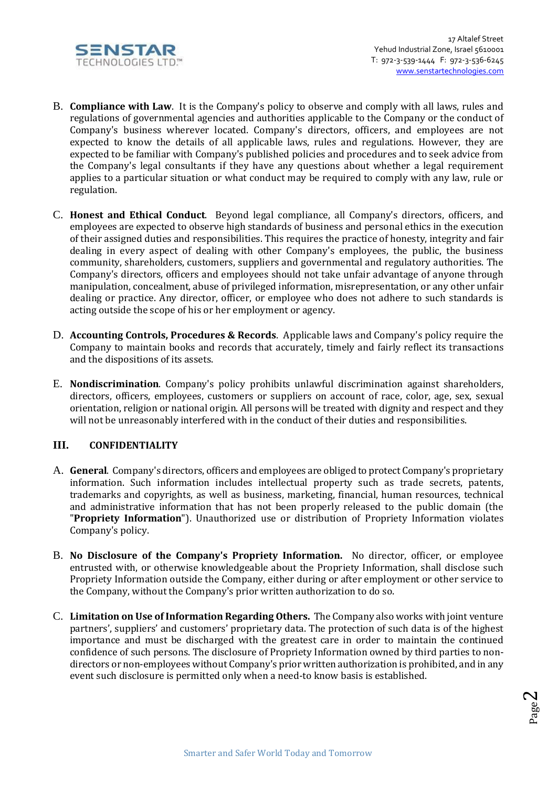

- B. **Compliance with Law**. It is the Company's policy to observe and comply with all laws, rules and regulations of governmental agencies and authorities applicable to the Company or the conduct of Company's business wherever located. Company's directors, officers, and employees are not expected to know the details of all applicable laws, rules and regulations. However, they are expected to be familiar with Company's published policies and procedures and to seek advice from the Company's legal consultants if they have any questions about whether a legal requirement applies to a particular situation or what conduct may be required to comply with any law, rule or regulation.
- C. **Honest and Ethical Conduct**. Beyond legal compliance, all Company's directors, officers, and employees are expected to observe high standards of business and personal ethics in the execution of their assigned duties and responsibilities. This requires the practice of honesty, integrity and fair dealing in every aspect of dealing with other Company's employees, the public, the business community, shareholders, customers, suppliers and governmental and regulatory authorities. The Company's directors, officers and employees should not take unfair advantage of anyone through manipulation, concealment, abuse of privileged information, misrepresentation, or any other unfair dealing or practice. Any director, officer, or employee who does not adhere to such standards is acting outside the scope of his or her employment or agency.
- D. **[Accounting Controls, Procedures & Records](http://www.halliburton.com/about/accounting_controls.jsp)**[.](http://www.halliburton.com/about/accounting_controls.jsp) Applicable laws and Company's policy require the Company to maintain books and records that accurately, timely and fairly reflect its transactions and the dispositions of its assets.
- E. **Nondiscrimination**. Company's policy prohibits unlawful discrimination against shareholders, directors, officers, employees, customers or suppliers on account of race, color, age, sex, sexual orientation, religion or national origin. All persons will be treated with dignity and respect and they will not be unreasonably interfered with in the conduct of their duties and responsibilities.

# **III. CONFIDENTIALITY**

- A. **General**. Company's directors, officers and employees are obliged to protect Company's proprietary information. Such information includes intellectual property such as trade secrets, patents, trademarks and copyrights, as well as business, marketing, financial, human resources, technical and administrative information that has not been properly released to the public domain (the "**Propriety Information**"). Unauthorized use or distribution of Propriety Information violates Company's policy.
- B. **No Disclosure of the Company's Propriety Information.** No director, officer, or employee entrusted with, or otherwise knowledgeable about the Propriety Information, shall disclose such Propriety Information outside the Company, either during or after employment or other service to the Company, without the Company's prior written authorization to do so.
- C. **Limitation on Use of Information Regarding Others.** The Company also works with joint venture partners', suppliers' and customers' proprietary data. The protection of such data is of the highest importance and must be discharged with the greatest care in order to maintain the continued confidence of such persons. The disclosure of Propriety Information owned by third parties to nondirectors or non-employees without Company's prior written authorization is prohibited, and in any event such disclosure is permitted only when a need-to know basis is established.

$$
_{\rm Page}2
$$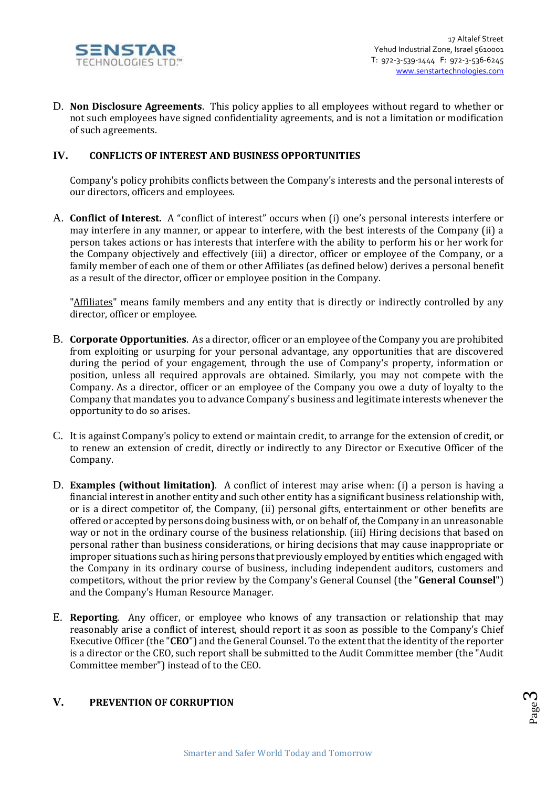

D. **Non Disclosure Agreements**. This policy applies to all employees without regard to whether or not such employees have signed confidentiality agreements, and is not a limitation or modification of such agreements.

### **IV. CONFLICTS OF INTEREST AND BUSINESS OPPORTUNITIES**

Company's policy prohibits conflicts between the Company's interests and the personal interests of our directors, officers and employees.

A. **Conflict of Interest.** A "conflict of interest" occurs when (i) one's personal interests interfere or may interfere in any manner, or appear to interfere, with the best interests of the Company (ii) a person takes actions or has interests that interfere with the ability to perform his or her work for the Company objectively and effectively (iii) a director, officer or employee of the Company, or a family member of each one of them or other Affiliates (as defined below) derives a personal benefit as a result of the director, officer or employee position in the Company.

"Affiliates" means family members and any entity that is directly or indirectly controlled by any director, officer or employee.

- B. **Corporate Opportunities**.As a director, officer or an employee of the Company you are prohibited from exploiting or usurping for your personal advantage, any opportunities that are discovered during the period of your engagement, through the use of Company's property, information or position, unless all required approvals are obtained. Similarly, you may not compete with the Company. As a director, officer or an employee of the Company you owe a duty of loyalty to the Company that mandates you to advance Company's business and legitimate interests whenever the opportunity to do so arises.
- C. It is against Company's policy to extend or maintain credit, to arrange for the extension of credit, or to renew an extension of credit, directly or indirectly to any Director or Executive Officer of the Company.
- D. **Examples (without limitation)**. A conflict of interest may arise when: (i) a person is having a financial interest in another entity and such other entity has a significant business relationship with, or is a direct competitor of, the Company, (ii) personal gifts, entertainment or other benefits are offered or accepted by persons doing business with, or on behalf of, the Company in an unreasonable way or not in the ordinary course of the business relationship. (iii) Hiring decisions that based on personal rather than business considerations, or hiring decisions that may cause inappropriate or improper situations such as hiring persons that previously employed by entities which engaged with the Company in its ordinary course of business, including independent auditors, customers and competitors, without the prior review by the Company's General Counsel (the "**General Counsel**") and the Company's Human Resource Manager.
- E. **Reporting**. Any officer, or employee who knows of any transaction or relationship that may reasonably arise a conflict of interest, should report it as soon as possible to the Company's Chief Executive Officer (the "**CEO**") and the General Counsel. To the extent that the identity of the reporter is a director or the CEO, such report shall be submitted to the Audit Committee member (the "Audit Committee member") instead of to the CEO.

### **V. PREVENTION OF CORRUPTION**

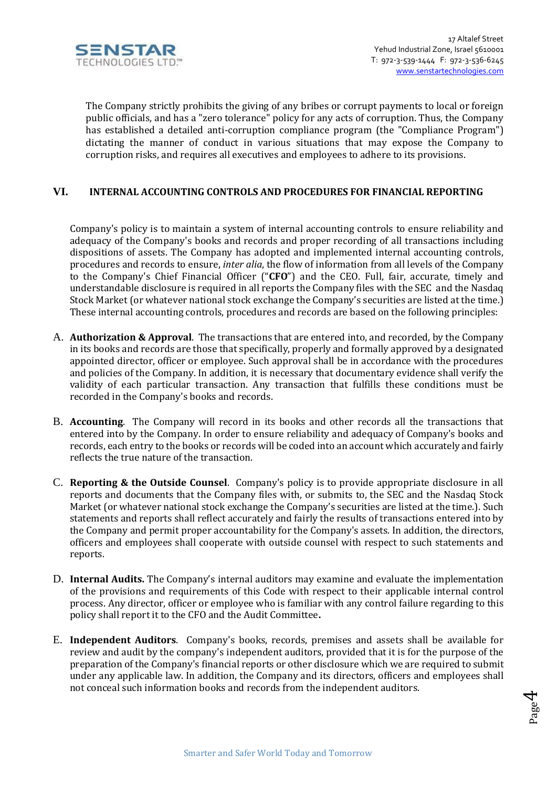

 The Company strictly prohibits the giving of any bribes or corrupt payments to local or foreign public officials, and has a "zero tolerance" policy for any acts of corruption. Thus, the Company has established a detailed anti-corruption compliance program (the "Compliance Program") dictating the manner of conduct in various situations that may expose the Company to corruption risks, and requires all executives and employees to adhere to its provisions.

## **VI. INTERNAL ACCOUNTING CONTROLS AND PROCEDURES FOR FINANCIAL REPORTING**

Company's policy is to maintain a system of internal accounting controls to ensure reliability and adequacy of the Company's books and records and proper recording of all transactions including dispositions of assets. The Company has adopted and implemented internal accounting controls, procedures and records to ensure, *inter alia*, the flow of information from all levels of the Company to the Company's Chief Financial Officer ("**CFO**") and the CEO. Full, fair, accurate, timely and understandable disclosure is required in all reports the Company files with the SEC and the Nasdaq Stock Market (or whatever national stock exchange the Company's securities are listed at the time.) These internal accounting controls, procedures and records are based on the following principles:

- A. **Authorization & Approval**. The transactions that are entered into, and recorded, by the Company in its books and records are those that specifically, properly and formally approved by a designated appointed director, officer or employee. Such approval shall be in accordance with the procedures and policies of the Company. In addition, it is necessary that documentary evidence shall verify the validity of each particular transaction. Any transaction that fulfills these conditions must be recorded in the Company's books and records.
- B. **Accounting**. The Company will record in its books and other records all the transactions that entered into by the Company. In order to ensure reliability and adequacy of Company's books and records, each entry to the books or records will be coded into an account which accurately and fairly reflects the true nature of the transaction.
- C. **Reporting & the Outside Counsel**. Company's policy is to provide appropriate disclosure in all reports and documents that the Company files with, or submits to, the SEC and the Nasdaq Stock Market (or whatever national stock exchange the Company's securities are listed at the time.). Such statements and reports shall reflect accurately and fairly the results of transactions entered into by the Company and permit proper accountability for the Company's assets. In addition, the directors, officers and employees shall cooperate with outside counsel with respect to such statements and reports.
- D. **Internal Audits.** The Company's internal auditors may examine and evaluate the implementation of the provisions and requirements of this Code with respect to their applicable internal control process. Any director, officer or employee who is familiar with any control failure regarding to this policy shall report it to the CFO and the Audit Committee**.**
- E. **Independent Auditors**. Company's books, records, premises and assets shall be available for review and audit by the company's independent auditors, provided that it is for the purpose of the preparation of the Company's financial reports or other disclosure which we are required to submit under any applicable law. In addition, the Company and its directors, officers and employees shall not conceal such information books and records from the independent auditors.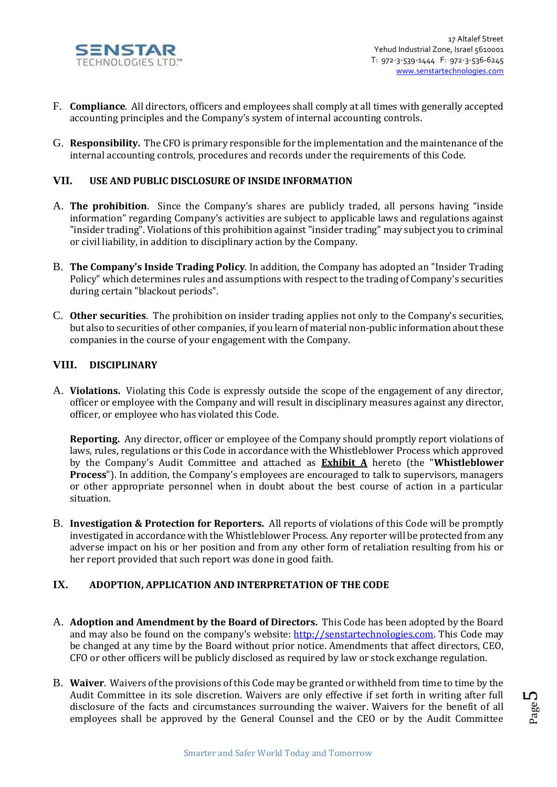

- F. **Compliance**. All directors, officers and employees shall comply at all times with generally accepted accounting principles and the Company's system of internal accounting controls.
- G. **Responsibility.** The CFO is primary responsible for the implementation and the maintenance of the internal accounting controls, procedures and records under the requirements of this Code.

### **VII. USE AND PUBLIC DISCLOSURE OF INSIDE INFORMATION**

- A. **The prohibition**. Since the Company's shares are publicly traded, all persons having "inside information" regarding Company's activities are subject to applicable laws and regulations against "insider trading". Violations of this prohibition against "insider trading" may subject you to criminal or civil liability, in addition to disciplinary action by the Company.
- B. **The Company's Inside Trading Policy**. In addition, the Company has adopted an "Insider Trading Policy" which determines rules and assumptions with respect to the trading of Company's securities during certain "blackout periods".
- C. **Other securities**. The prohibition on insider trading applies not only to the Company's securities, but also to securities of other companies, if you learn of material non-public information about these companies in the course of your engagement with the Company.

### **VIII. DISCIPLINARY**

A. **Violations.** Violating this Code is expressly outside the scope of the engagement of any director, officer or employee with the Company and will result in disciplinary measures against any director, officer, or employee who has violated this Code.

**Reporting.** Any director, officer or employee of the Company should promptly report violations of laws, rules, regulations or this Code in accordance with the Whistleblower Process which approved by the Company's Audit Committee and attached as **Exhibit A** hereto (the "**Whistleblower Process**"). In addition, the Company's employees are encouraged to talk to supervisors, managers or other appropriate personnel when in doubt about the best course of action in a particular situation.

B. **Investigation & Protection for Reporters.** All reports of violations of this Code will be promptly investigated in accordance with the Whistleblower Process. Any reporter will be protected from any adverse impact on his or her position and from any other form of retaliation resulting from his or her report provided that such report was done in good faith.

## **IX. ADOPTION, APPLICATION AND INTERPRETATION OF THE CODE**

- A. **Adoption and Amendment by the Board of Directors.** This Code has been adopted by the Board and may also be found on the company's website: [http://senstartechnologies.com](http://senstartechnologies.com/)[.](http://magal-s3.com/) This Code may be changed at any time by the Board without prior notice. Amendments that affect directors, CEO, CFO or other officers will be publicly disclosed as required by law or stock exchange regulation.
- B. **Waiver**. Waivers of the provisions of this Code may be granted or withheld from time to time by the Audit Committee in its sole discretion. Waivers are only effective if set forth in writing after full disclosure of the facts and circumstances surrounding the waiver. Waivers for the benefit of all employees shall be approved by the General Counsel and the CEO or by the Audit Committee

Page ம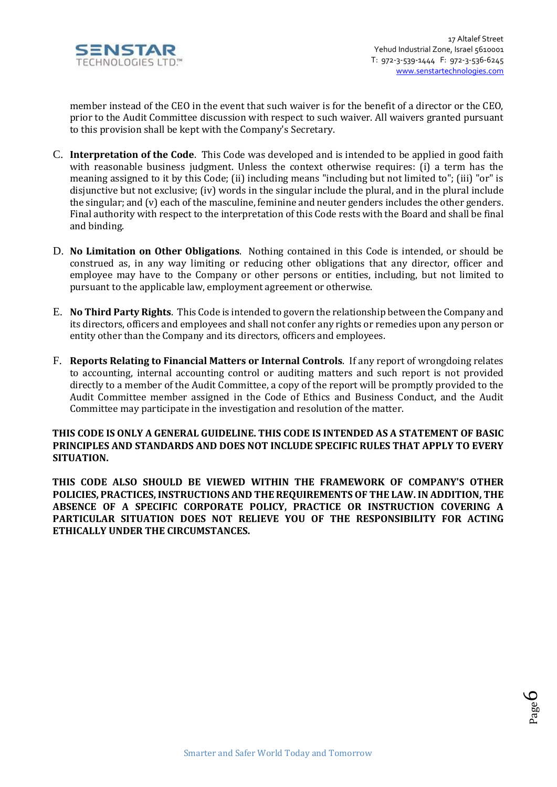

member instead of the CEO in the event that such waiver is for the benefit of a director or the CEO, prior to the Audit Committee discussion with respect to such waiver. All waivers granted pursuant to this provision shall be kept with the Company's Secretary.

- C. **Interpretation of the Code**. This Code was developed and is intended to be applied in good faith with reasonable business judgment. Unless the context otherwise requires: (i) a term has the meaning assigned to it by this Code; (ii) including means "including but not limited to"; (iii) "or" is disjunctive but not exclusive; (iv) words in the singular include the plural, and in the plural include the singular; and (v) each of the masculine, feminine and neuter genders includes the other genders. Final authority with respect to the interpretation of this Code rests with the Board and shall be final and binding.
- D. **No Limitation on Other Obligations**. Nothing contained in this Code is intended, or should be construed as, in any way limiting or reducing other obligations that any director, officer and employee may have to the Company or other persons or entities, including, but not limited to pursuant to the applicable law, employment agreement or otherwise.
- E. **No Third Party Rights**. This Code is intended to govern the relationship between the Company and its directors, officers and employees and shall not confer any rights or remedies upon any person or entity other than the Company and its directors, officers and employees.
- F. **Reports Relating to Financial Matters or Internal Controls**. If any report of wrongdoing relates to accounting, internal accounting control or auditing matters and such report is not provided directly to a member of the Audit Committee, a copy of the report will be promptly provided to the Audit Committee member assigned in the Code of Ethics and Business Conduct, and the Audit Committee may participate in the investigation and resolution of the matter.

#### **THIS CODE IS ONLY A GENERAL GUIDELINE. THIS CODE IS INTENDED AS A STATEMENT OF BASIC PRINCIPLES AND STANDARDS AND DOES NOT INCLUDE SPECIFIC RULES THAT APPLY TO EVERY SITUATION.**

**THIS CODE ALSO SHOULD BE VIEWED WITHIN THE FRAMEWORK OF COMPANY'S OTHER POLICIES, PRACTICES, INSTRUCTIONS AND THE REQUIREMENTS OF THE LAW. IN ADDITION, THE ABSENCE OF A SPECIFIC CORPORATE POLICY, PRACTICE OR INSTRUCTION COVERING A PARTICULAR SITUATION DOES NOT RELIEVE YOU OF THE RESPONSIBILITY FOR ACTING ETHICALLY UNDER THE CIRCUMSTANCES.**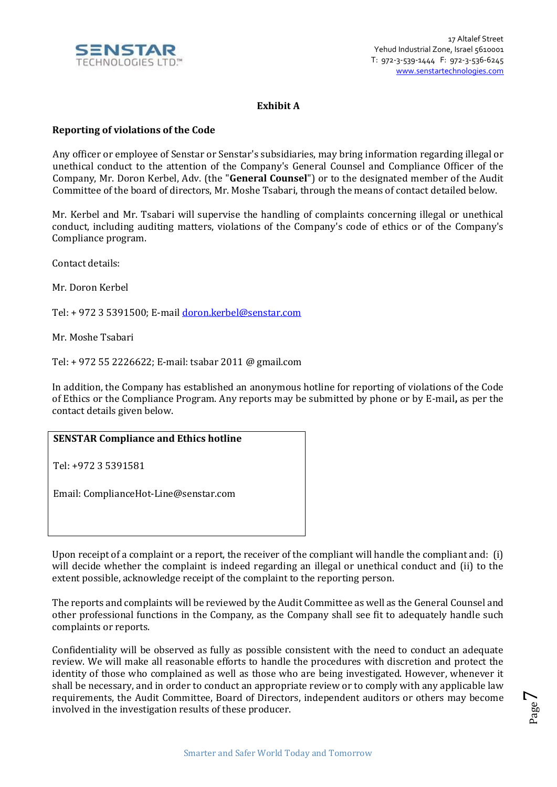

## **Exhibit A**

### **Reporting of violations of the Code**

Any officer or employee of Senstar or Senstar's subsidiaries, may bring information regarding illegal or unethical conduct to the attention of the Company's General Counsel and Compliance Officer of the Company, Mr. Doron Kerbel, Adv. (the "**General Counsel**") or to the designated member of the Audit Committee of the board of directors, Mr. Moshe Tsabari, through the means of contact detailed below.

Mr. Kerbel and Mr. Tsabari will supervise the handling of complaints concerning illegal or unethical conduct, including auditing matters, violations of the Company's code of ethics or of the Company's Compliance program.

Contact details:

Mr. Doron Kerbel

Tel: + 972 3 5391500; E-mail [doron.kerbel@senstar.com](mailto:doron.kerbel@senstar.com)

Mr. Moshe Tsabari

Tel: + 972 55 2226622; E-mail: tsabar 2011 @ gmail.com

In addition, the Company has established an anonymous hotline for reporting of violations of the Code of Ethics or the Compliance Program. Any reports may be submitted by phone or by E-mail**,** as per the contact details given below.

# **SENSTAR Compliance and Ethics hotline**

Tel: +972 3 5391581

Email: ComplianceHot-Line@senstar.com

Upon receipt of a complaint or a report, the receiver of the compliant will handle the compliant and: (i) will decide whether the complaint is indeed regarding an illegal or unethical conduct and (ii) to the extent possible, acknowledge receipt of the complaint to the reporting person.

The reports and complaints will be reviewed by the Audit Committee as well as the General Counsel and other professional functions in the Company, as the Company shall see fit to adequately handle such complaints or reports.

Confidentiality will be observed as fully as possible consistent with the need to conduct an adequate review. We will make all reasonable efforts to handle the procedures with discretion and protect the identity of those who complained as well as those who are being investigated. However, whenever it shall be necessary, and in order to conduct an appropriate review or to comply with any applicable law requirements, the Audit Committee, Board of Directors, independent auditors or others may become involved in the investigation results of these producer.

Page  $\overline{\phantom{a}}$